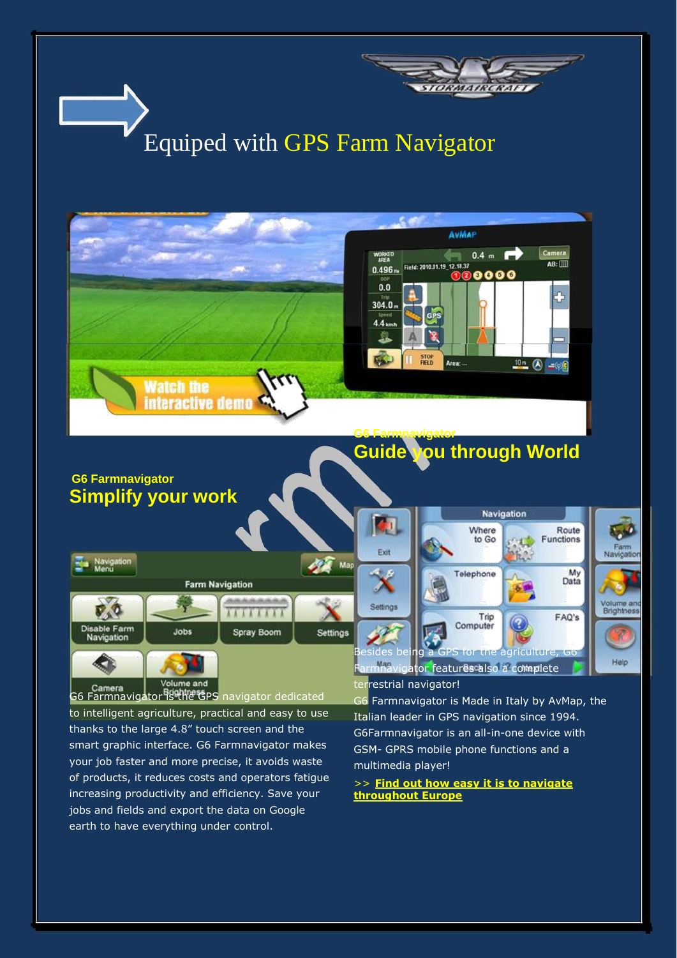

increasing productivity and efficiency. Save your jobs and fields and export the data on Google earth to have everything under control.

>> **[Find out how easy it is to navigate](http://www.avmap.it/farmnavigator/index.php?swt=0703) [throughout Europe](http://www.avmap.it/farmnavigator/index.php?swt=0703)**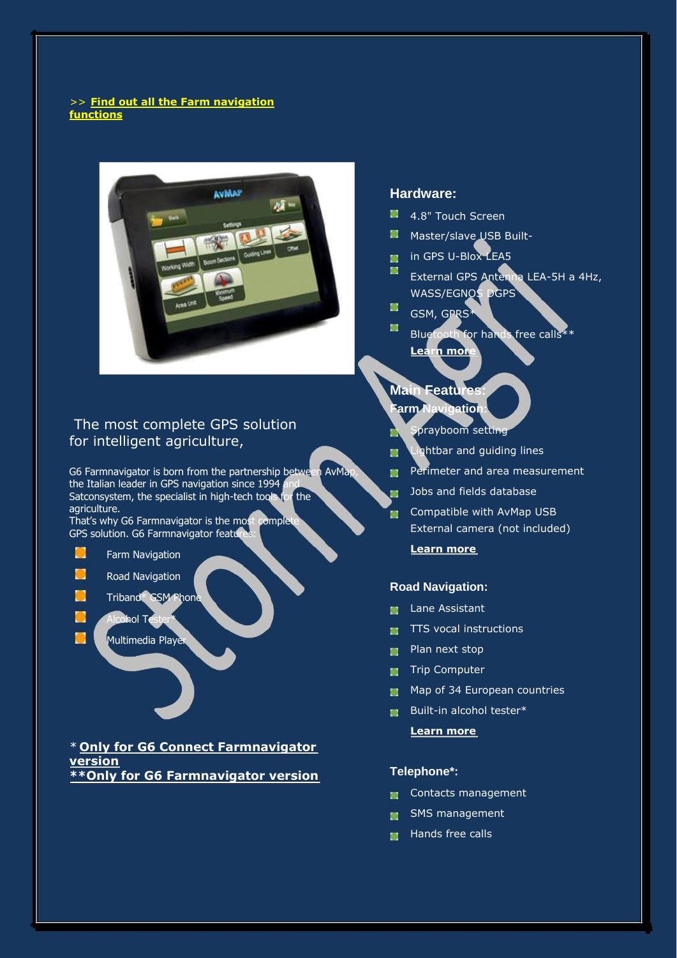#### >> **[Find out all the Farm navigation](http://www.avmap.it/farmnavigator/index.php?swt=0702) [functions](http://www.avmap.it/farmnavigator/index.php?swt=0702)**



### The most complete GPS solution for intelligent agriculture,

G6 Farmnavigator is born from the partnership between AvMap, the Italian leader in GPS navigation since  $1994$ Satconsystem, the specialist in high-tech tools for the agriculture.

That's why G6 Farmnavigator is the most complete GPS solution. G6 Farmnavigator features:

 $\Box$ Farm Navigation

٦

- ۰ Road Navigation
- Triband\* GSM Phone
	- Alcohol Tes
	- Multimedia Player

\* **[Only for G6 Connect Farmnavigator](http://www.avmap.it/farmnavigator/index.php?swt=06) [version](http://www.avmap.it/farmnavigator/index.php?swt=06) [\\*\\*Only for G6 Farmnavigator version](http://www.avmap.it/farmnavigator/index.php?swt=06)**

#### **Hardware:**

- 4.8" Touch Screen
- Master/slave USB Built-
- in GPS U-Blox LEA5
- ш External GPS Antenna LEA-5H a 4Hz, WASS/EGNOS DGPS
- $\blacksquare$ GSM, GPRS\*
- 冨 Bluetooth for hands free calls\*\* **[Learn more](http://www.avmap.it/farmnavigator/index.php?swt=0701)**
- **Main Features:**
- **Farm Navigation:**
	- Sprayboom setting
- Lightbar and guiding lines M.
- **Perimeter and area measurement**
- Jobs and fields database 証
- **Compatible with AvMap USB** External camera (not included) **[Learn more](http://www.avmap.it/farmnavigator/index.php?swt=0702)**

#### **Road Navigation:**

- **Lane Assistant**
- $\blacksquare$  TTS vocal instructions
- **Plan next stop**
- **Trip Computer**
- **Map of 34 European countries**
- Built-in alcohol tester\*
	- **[Learn more](http://www.avmap.it/farmnavigator/index.php?swt=0703)**

#### **Telephone\*:**

- Contacts management tur.
- SMS management m.
- **Hands free calls**